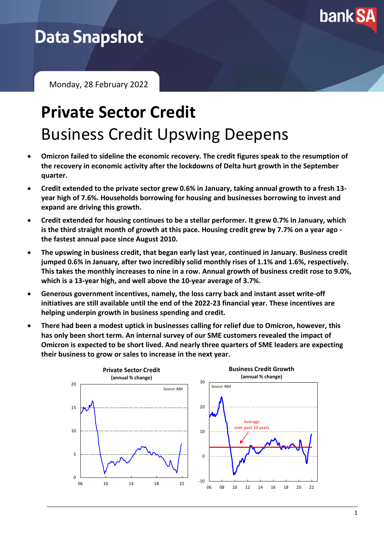

## **Data Snapshot**

Monday, 28 February 2022

# **Private Sector Credit** Business Credit Upswing Deepens

- **Omicron failed to sideline the economic recovery. The credit figures speak to the resumption of the recovery in economic activity after the lockdowns of Delta hurt growth in the September quarter.**
- **Credit extended to the private sector grew 0.6% in January, taking annual growth to a fresh 13 year high of 7.6%. Households borrowing for housing and businesses borrowing to invest and expand are driving this growth.**
- **Credit extended for housing continues to be a stellar performer. It grew 0.7% in January, which is the third straight month of growth at this pace. Housing credit grew by 7.7% on a year ago the fastest annual pace since August 2010.**
- **The upswing in business credit, that began early last year, continued in January. Business credit jumped 0.6% in January, after two incredibly solid monthly rises of 1.1% and 1.6%, respectively. This takes the monthly increases to nine in a row. Annual growth of business credit rose to 9.0%, which is a 13-year high, and well above the 10-year average of 3.7%.**
- **Generous government incentives, namely, the loss carry back and instant asset write-off initiatives are still available until the end of the 2022-23 financial year. These incentives are helping underpin growth in business spending and credit.**
- **There had been a modest uptick in businesses calling for relief due to Omicron, however, this has only been short term. An internal survey of our SME customers revealed the impact of Omicron is expected to be short lived. And nearly three quarters of SME leaders are expecting their business to grow or sales to increase in the next year.**

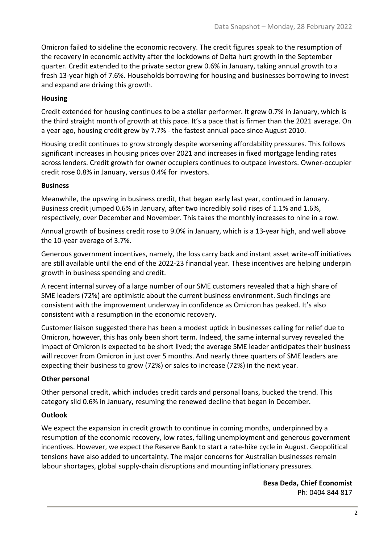Omicron failed to sideline the economic recovery. The credit figures speak to the resumption of the recovery in economic activity after the lockdowns of Delta hurt growth in the September quarter. Credit extended to the private sector grew 0.6% in January, taking annual growth to a fresh 13-year high of 7.6%. Households borrowing for housing and businesses borrowing to invest and expand are driving this growth.

#### **Housing**

Credit extended for housing continues to be a stellar performer. It grew 0.7% in January, which is the third straight month of growth at this pace. It's a pace that is firmer than the 2021 average. On a year ago, housing credit grew by 7.7% - the fastest annual pace since August 2010.

Housing credit continues to grow strongly despite worsening affordability pressures. This follows significant increases in housing prices over 2021 and increases in fixed mortgage lending rates across lenders. Credit growth for owner occupiers continues to outpace investors. Owner-occupier credit rose 0.8% in January, versus 0.4% for investors.

#### **Business**

Meanwhile, the upswing in business credit, that began early last year, continued in January. Business credit jumped 0.6% in January, after two incredibly solid rises of 1.1% and 1.6%, respectively, over December and November. This takes the monthly increases to nine in a row.

Annual growth of business credit rose to 9.0% in January, which is a 13-year high, and well above the 10-year average of 3.7%.

Generous government incentives, namely, the loss carry back and instant asset write-off initiatives are still available until the end of the 2022-23 financial year. These incentives are helping underpin growth in business spending and credit.

A recent internal survey of a large number of our SME customers revealed that a high share of SME leaders (72%) are optimistic about the current business environment. Such findings are consistent with the improvement underway in confidence as Omicron has peaked. It's also consistent with a resumption in the economic recovery.

Customer liaison suggested there has been a modest uptick in businesses calling for relief due to Omicron, however, this has only been short term. Indeed, the same internal survey revealed the impact of Omicron is expected to be short lived; the average SME leader anticipates their business will recover from Omicron in just over 5 months. And nearly three quarters of SME leaders are expecting their business to grow (72%) or sales to increase (72%) in the next year.

### **Other personal**

Other personal credit, which includes credit cards and personal loans, bucked the trend. This category slid 0.6% in January, resuming the renewed decline that began in December.

### **Outlook**

We expect the expansion in credit growth to continue in coming months, underpinned by a resumption of the economic recovery, low rates, falling unemployment and generous government incentives. However, we expect the Reserve Bank to start a rate-hike cycle in August. Geopolitical tensions have also added to uncertainty. The major concerns for Australian businesses remain labour shortages, global supply-chain disruptions and mounting inflationary pressures.

> **Besa Deda, Chief Economist** Ph: 0404 844 817